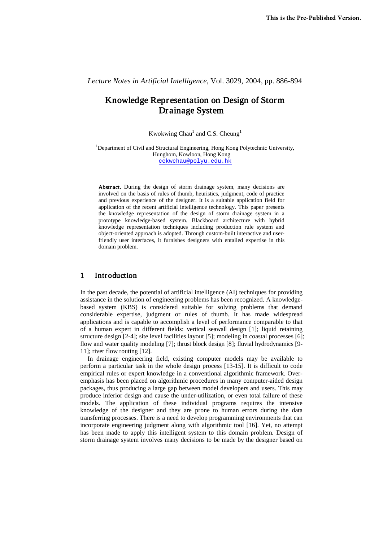*Lecture Notes in Artificial Intelligence*, Vol. 3029, 2004, pp. 886-894

# Knowledge Representation on Design of Storm Drainage System

Kwokwing Chau<sup>1</sup> and C.S. Cheung<sup>1</sup>

<sup>1</sup>Department of Civil and Structural Engineering, Hong Kong Polytechnic University, Hunghom, Kowloon, Hong Kong [cekwchau@polyu.edu.hk](mailto:cekwchau@polyu.edu.hk)

Abstract. During the design of storm drainage system, many decisions are involved on the basis of rules of thumb, heuristics, judgment, code of practice and previous experience of the designer. It is a suitable application field for application of the recent artificial intelligence technology. This paper presents the knowledge representation of the design of storm drainage system in a prototype knowledge-based system. Blackboard architecture with hybrid knowledge representation techniques including production rule system and object-oriented approach is adopted. Through custom-built interactive and userfriendly user interfaces, it furnishes designers with entailed expertise in this domain problem.

### 1 Introduction

In the past decade, the potential of artificial intelligence (AI) techniques for providing assistance in the solution of engineering problems has been recognized. A knowledgebased system (KBS) is considered suitable for solving problems that demand considerable expertise, judgment or rules of thumb. It has made widespread applications and is capable to accomplish a level of performance comparable to that of a human expert in different fields: vertical seawall design [1]; liquid retaining structure design [2-4]; site level facilities layout [5]; modeling in coastal processes [6]; flow and water quality modeling [7]; thrust block design [8]; fluvial hydrodynamics [9- 11]; river flow routing [12].

In drainage engineering field, existing computer models may be available to perform a particular task in the whole design process [13-15]. It is difficult to code empirical rules or expert knowledge in a conventional algorithmic framework. Overemphasis has been placed on algorithmic procedures in many computer-aided design packages, thus producing a large gap between model developers and users. This may produce inferior design and cause the under-utilization, or even total failure of these models. The application of these individual programs requires the intensive knowledge of the designer and they are prone to human errors during the data transferring processes. There is a need to develop programming environments that can incorporate engineering judgment along with algorithmic tool [16]. Yet, no attempt has been made to apply this intelligent system to this domain problem. Design of storm drainage system involves many decisions to be made by the designer based on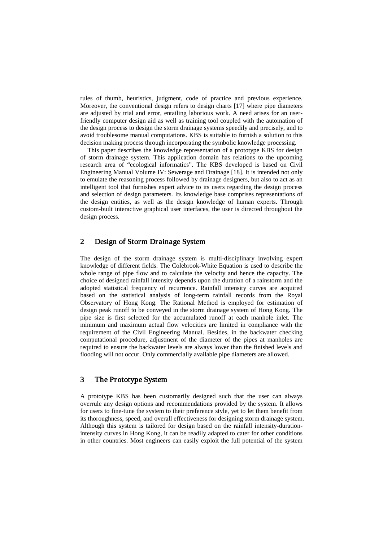rules of thumb, heuristics, judgment, code of practice and previous experience. Moreover, the conventional design refers to design charts [17] where pipe diameters are adjusted by trial and error, entailing laborious work. A need arises for an userfriendly computer design aid as well as training tool coupled with the automation of the design process to design the storm drainage systems speedily and precisely, and to avoid troublesome manual computations. KBS is suitable to furnish a solution to this decision making process through incorporating the symbolic knowledge processing.

This paper describes the knowledge representation of a prototype KBS for design of storm drainage system. This application domain has relations to the upcoming research area of "ecological informatics". The KBS developed is based on Civil Engineering Manual Volume IV: Sewerage and Drainage [18]. It is intended not only to emulate the reasoning process followed by drainage designers, but also to act as an intelligent tool that furnishes expert advice to its users regarding the design process and selection of design parameters. Its knowledge base comprises representations of the design entities, as well as the design knowledge of human experts. Through custom-built interactive graphical user interfaces, the user is directed throughout the design process.

### 2 Design of Storm Drainage System

The design of the storm drainage system is multi-disciplinary involving expert knowledge of different fields. The Colebrook-White Equation is used to describe the whole range of pipe flow and to calculate the velocity and hence the capacity. The choice of designed rainfall intensity depends upon the duration of a rainstorm and the adopted statistical frequency of recurrence. Rainfall intensity curves are acquired based on the statistical analysis of long-term rainfall records from the Royal Observatory of Hong Kong. The Rational Method is employed for estimation of design peak runoff to be conveyed in the storm drainage system of Hong Kong. The pipe size is first selected for the accumulated runoff at each manhole inlet. The minimum and maximum actual flow velocities are limited in compliance with the requirement of the Civil Engineering Manual. Besides, in the backwater checking computational procedure, adjustment of the diameter of the pipes at manholes are required to ensure the backwater levels are always lower than the finished levels and flooding will not occur. Only commercially available pipe diameters are allowed.

## 3 The Prototype System

A prototype KBS has been customarily designed such that the user can always overrule any design options and recommendations provided by the system. It allows for users to fine-tune the system to their preference style, yet to let them benefit from its thoroughness, speed, and overall effectiveness for designing storm drainage system. Although this system is tailored for design based on the rainfall intensity-durationintensity curves in Hong Kong, it can be readily adapted to cater for other conditions in other countries. Most engineers can easily exploit the full potential of the system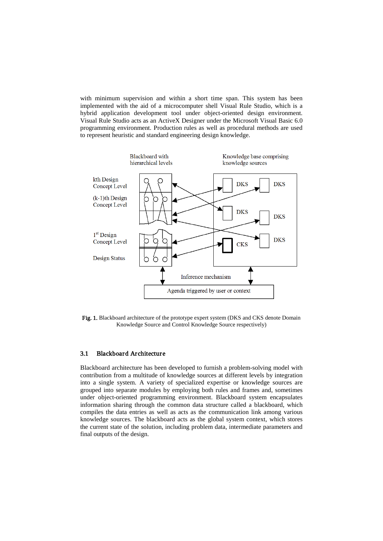with minimum supervision and within a short time span. This system has been implemented with the aid of a microcomputer shell Visual Rule Studio, which is a hybrid application development tool under object-oriented design environment. Visual Rule Studio acts as an ActiveX Designer under the Microsoft Visual Basic 6.0 programming environment. Production rules as well as procedural methods are used to represent heuristic and standard engineering design knowledge.



Fig. 1. Blackboard architecture of the prototype expert system (DKS and CKS denote Domain Knowledge Source and Control Knowledge Source respectively)

#### 3.1 Blackboard Architecture

Blackboard architecture has been developed to furnish a problem-solving model with contribution from a multitude of knowledge sources at different levels by integration into a single system. A variety of specialized expertise or knowledge sources are grouped into separate modules by employing both rules and frames and, sometimes under object-oriented programming environment. Blackboard system encapsulates information sharing through the common data structure called a blackboard, which compiles the data entries as well as acts as the communication link among various knowledge sources. The blackboard acts as the global system context, which stores the current state of the solution, including problem data, intermediate parameters and final outputs of the design.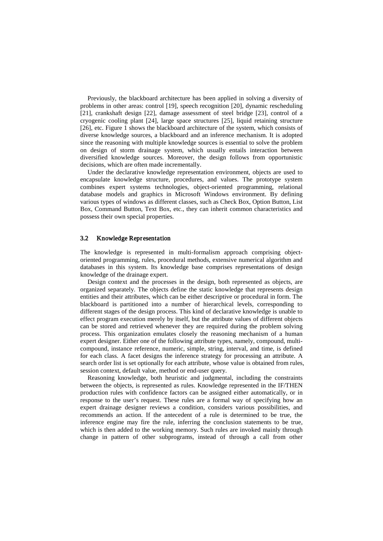Previously, the blackboard architecture has been applied in solving a diversity of problems in other areas: control [19], speech recognition [20], dynamic rescheduling [21], crankshaft design [22], damage assessment of steel bridge [23], control of a cryogenic cooling plant [24], large space structures [25], liquid retaining structure [26], etc. Figure 1 shows the blackboard architecture of the system, which consists of diverse knowledge sources, a blackboard and an inference mechanism. It is adopted since the reasoning with multiple knowledge sources is essential to solve the problem on design of storm drainage system, which usually entails interaction between diversified knowledge sources. Moreover, the design follows from opportunistic decisions, which are often made incrementally.

Under the declarative knowledge representation environment, objects are used to encapsulate knowledge structure, procedures, and values. The prototype system combines expert systems technologies, object-oriented programming, relational database models and graphics in Microsoft Windows environment. By defining various types of windows as different classes, such as Check Box, Option Button, List Box, Command Button, Text Box, etc., they can inherit common characteristics and possess their own special properties.

#### 3.2 Knowledge Representation

The knowledge is represented in multi-formalism approach comprising objectoriented programming, rules, procedural methods, extensive numerical algorithm and databases in this system. Its knowledge base comprises representations of design knowledge of the drainage expert.

Design context and the processes in the design, both represented as objects, are organized separately. The objects define the static knowledge that represents design entities and their attributes, which can be either descriptive or procedural in form. The blackboard is partitioned into a number of hierarchical levels, corresponding to different stages of the design process. This kind of declarative knowledge is unable to effect program execution merely by itself, but the attribute values of different objects can be stored and retrieved whenever they are required during the problem solving process. This organization emulates closely the reasoning mechanism of a human expert designer. Either one of the following attribute types, namely, compound, multicompound, instance reference, numeric, simple, string, interval, and time, is defined for each class. A facet designs the inference strategy for processing an attribute. A search order list is set optionally for each attribute, whose value is obtained from rules, session context, default value, method or end-user query.

Reasoning knowledge, both heuristic and judgmental, including the constraints between the objects, is represented as rules. Knowledge represented in the IF/THEN production rules with confidence factors can be assigned either automatically, or in response to the user's request. These rules are a formal way of specifying how an expert drainage designer reviews a condition, considers various possibilities, and recommends an action. If the antecedent of a rule is determined to be true, the inference engine may fire the rule, inferring the conclusion statements to be true, which is then added to the working memory. Such rules are invoked mainly through change in pattern of other subprograms, instead of through a call from other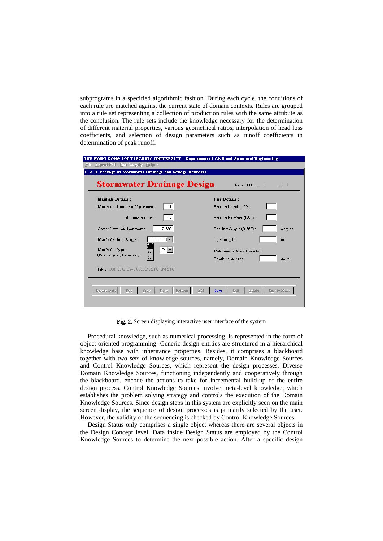subprograms in a specified algorithmic fashion. During each cycle, the conditions of each rule are matched against the current state of domain contexts. Rules are grouped into a rule set representing a collection of production rules with the same attribute as the conclusion. The rule sets include the knowledge necessary for the determination of different material properties, various geometrical ratios, interpolation of head loss coefficients, and selection of design parameters such as runoff coefficients in determination of peak runoff.

| Manhole Details:                  | Pipe Details:                                                  |
|-----------------------------------|----------------------------------------------------------------|
| Manhole Number at Upstream:       | Branch Level (1-99):                                           |
| at Downstream:                    | 2<br>Branch Number (1-99):                                     |
| Cover Level at Upstream:          | 2.780<br>Bearing Angle (0-360):<br>degree                      |
| Manhole Bent Angle:               | Pipe length:<br>m                                              |
| Manhole Type:<br>30               | $R$ $\vert \mathbf{v} \vert$<br><b>Catchment Area Details:</b> |
| (R-rectangular, C-circular)<br>60 | Catchment Area:<br>sq.m                                        |

Fig. 2. Screen displaying interactive user interface of the system

Procedural knowledge, such as numerical processing, is represented in the form of object-oriented programming. Generic design entities are structured in a hierarchical knowledge base with inheritance properties. Besides, it comprises a blackboard together with two sets of knowledge sources, namely, Domain Knowledge Sources and Control Knowledge Sources, which represent the design processes. Diverse Domain Knowledge Sources, functioning independently and cooperatively through the blackboard, encode the actions to take for incremental build-up of the entire design process. Control Knowledge Sources involve meta-level knowledge, which establishes the problem solving strategy and controls the execution of the Domain Knowledge Sources. Since design steps in this system are explicitly seen on the main screen display, the sequence of design processes is primarily selected by the user. However, the validity of the sequencing is checked by Control Knowledge Sources.

Design Status only comprises a single object whereas there are several objects in the Design Concept level. Data inside Design Status are employed by the Control Knowledge Sources to determine the next possible action. After a specific design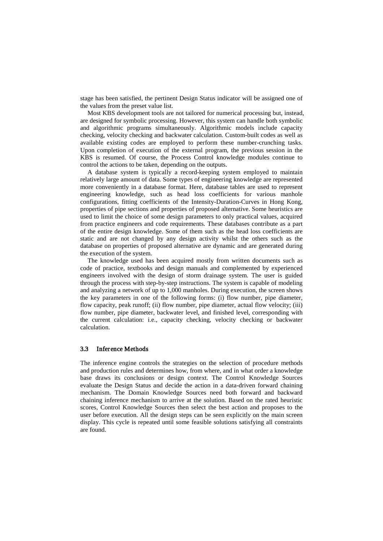stage has been satisfied, the pertinent Design Status indicator will be assigned one of the values from the preset value list.

Most KBS development tools are not tailored for numerical processing but, instead, are designed for symbolic processing. However, this system can handle both symbolic and algorithmic programs simultaneously. Algorithmic models include capacity checking, velocity checking and backwater calculation. Custom-built codes as well as available existing codes are employed to perform these number-crunching tasks. Upon completion of execution of the external program, the previous session in the KBS is resumed. Of course, the Process Control knowledge modules continue to control the actions to be taken, depending on the outputs.

A database system is typically a record-keeping system employed to maintain relatively large amount of data. Some types of engineering knowledge are represented more conveniently in a database format. Here, database tables are used to represent engineering knowledge, such as head loss coefficients for various manhole configurations, fitting coefficients of the Intensity-Duration-Curves in Hong Kong, properties of pipe sections and properties of proposed alternative. Some heuristics are used to limit the choice of some design parameters to only practical values, acquired from practice engineers and code requirements. These databases contribute as a part of the entire design knowledge. Some of them such as the head loss coefficients are static and are not changed by any design activity whilst the others such as the database on properties of proposed alternative are dynamic and are generated during the execution of the system.

The knowledge used has been acquired mostly from written documents such as code of practice, textbooks and design manuals and complemented by experienced engineers involved with the design of storm drainage system. The user is guided through the process with step-by-step instructions. The system is capable of modeling and analyzing a network of up to 1,000 manholes. During execution, the screen shows the key parameters in one of the following forms: (i) flow number, pipe diameter, flow capacity, peak runoff; (ii) flow number, pipe diameter, actual flow velocity; (iii) flow number, pipe diameter, backwater level, and finished level, corresponding with the current calculation: i.e., capacity checking, velocity checking or backwater calculation.

### 3.3 Inference Methods

The inference engine controls the strategies on the selection of procedure methods and production rules and determines how, from where, and in what order a knowledge base draws its conclusions or design context. The Control Knowledge Sources evaluate the Design Status and decide the action in a data-driven forward chaining mechanism. The Domain Knowledge Sources need both forward and backward chaining inference mechanism to arrive at the solution. Based on the rated heuristic scores, Control Knowledge Sources then select the best action and proposes to the user before execution. All the design steps can be seen explicitly on the main screen display. This cycle is repeated until some feasible solutions satisfying all constraints are found.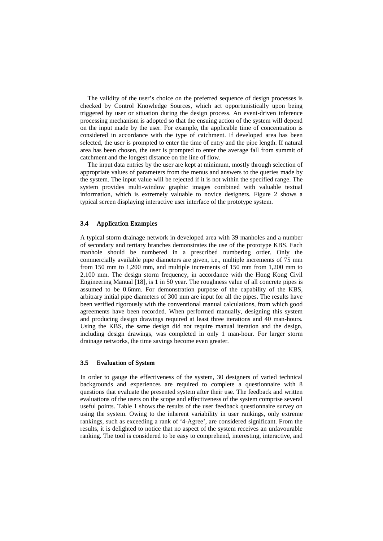The validity of the user's choice on the preferred sequence of design processes is checked by Control Knowledge Sources, which act opportunistically upon being triggered by user or situation during the design process. An event-driven inference processing mechanism is adopted so that the ensuing action of the system will depend on the input made by the user. For example, the applicable time of concentration is considered in accordance with the type of catchment. If developed area has been selected, the user is prompted to enter the time of entry and the pipe length. If natural area has been chosen, the user is prompted to enter the average fall from summit of catchment and the longest distance on the line of flow.

The input data entries by the user are kept at minimum, mostly through selection of appropriate values of parameters from the menus and answers to the queries made by the system. The input value will be rejected if it is not within the specified range. The system provides multi-window graphic images combined with valuable textual information, which is extremely valuable to novice designers. Figure 2 shows a typical screen displaying interactive user interface of the prototype system.

#### 3.4 Application Examples

A typical storm drainage network in developed area with 39 manholes and a number of secondary and tertiary branches demonstrates the use of the prototype KBS. Each manhole should be numbered in a prescribed numbering order. Only the commercially available pipe diameters are given, i.e., multiple increments of 75 mm from 150 mm to 1,200 mm, and multiple increments of 150 mm from 1,200 mm to 2,100 mm. The design storm frequency, in accordance with the Hong Kong Civil Engineering Manual [18], is 1 in 50 year. The roughness value of all concrete pipes is assumed to be 0.6mm. For demonstration purpose of the capability of the KBS, arbitrary initial pipe diameters of 300 mm are input for all the pipes. The results have been verified rigorously with the conventional manual calculations, from which good agreements have been recorded. When performed manually, designing this system and producing design drawings required at least three iterations and 40 man-hours. Using the KBS, the same design did not require manual iteration and the design, including design drawings, was completed in only 1 man-hour. For larger storm drainage networks, the time savings become even greater.

#### 3.5 Evaluation of System

In order to gauge the effectiveness of the system, 30 designers of varied technical backgrounds and experiences are required to complete a questionnaire with 8 questions that evaluate the presented system after their use. The feedback and written evaluations of the users on the scope and effectiveness of the system comprise several useful points. Table 1 shows the results of the user feedback questionnaire survey on using the system. Owing to the inherent variability in user rankings, only extreme rankings, such as exceeding a rank of '4-Agree', are considered significant. From the results, it is delighted to notice that no aspect of the system receives an unfavourable ranking. The tool is considered to be easy to comprehend, interesting, interactive, and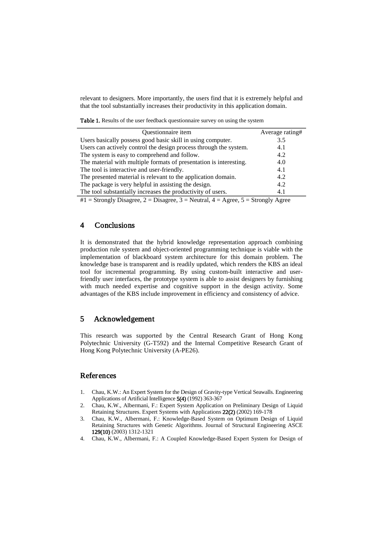relevant to designers. More importantly, the users find that it is extremely helpful and that the tool substantially increases their productivity in this application domain.

Table 1. Results of the user feedback questionnaire survey on using the system

| <b>Ouestionnaire item</b>                                                                                                                                                                                                                                                                                                                                                                                  | Average rating# |
|------------------------------------------------------------------------------------------------------------------------------------------------------------------------------------------------------------------------------------------------------------------------------------------------------------------------------------------------------------------------------------------------------------|-----------------|
| Users basically possess good basic skill in using computer.                                                                                                                                                                                                                                                                                                                                                | 3.5             |
| Users can actively control the design process through the system.                                                                                                                                                                                                                                                                                                                                          | 4.1             |
| The system is easy to comprehend and follow.                                                                                                                                                                                                                                                                                                                                                               | 4.2             |
| The material with multiple formats of presentation is interesting.                                                                                                                                                                                                                                                                                                                                         | 4.0             |
| The tool is interactive and user-friendly.                                                                                                                                                                                                                                                                                                                                                                 | 4.1             |
| The presented material is relevant to the application domain.                                                                                                                                                                                                                                                                                                                                              | 4.2             |
| The package is very helpful in assisting the design.                                                                                                                                                                                                                                                                                                                                                       | 4.2             |
| The tool substantially increases the productivity of users.                                                                                                                                                                                                                                                                                                                                                | 4.1             |
| $\mathbf{u}$ $\mathbf{u}$ $\mathbf{u}$ $\mathbf{v}$ $\mathbf{v}$ $\mathbf{v}$ $\mathbf{v}$ $\mathbf{v}$ $\mathbf{v}$ $\mathbf{v}$ $\mathbf{v}$ $\mathbf{v}$ $\mathbf{v}$ $\mathbf{v}$ $\mathbf{v}$ $\mathbf{v}$ $\mathbf{v}$ $\mathbf{v}$ $\mathbf{v}$ $\mathbf{v}$ $\mathbf{v}$ $\mathbf{v}$ $\mathbf{v}$ $\mathbf{v}$ $\mathbf{$<br>$\alpha$ $\alpha$ $\alpha$ $\alpha$ $\alpha$<br>$\sim$ $\sim$ $\sim$ | $\sim$ $\sim$   |

 $#1 =$  Strongly Disagree, 2 = Disagree, 3 = Neutral, 4 = Agree, 5 = Strongly Agree

## 4 Conclusions

It is demonstrated that the hybrid knowledge representation approach combining production rule system and object-oriented programming technique is viable with the implementation of blackboard system architecture for this domain problem. The knowledge base is transparent and is readily updated, which renders the KBS an ideal tool for incremental programming. By using custom-built interactive and userfriendly user interfaces, the prototype system is able to assist designers by furnishing with much needed expertise and cognitive support in the design activity. Some advantages of the KBS include improvement in efficiency and consistency of advice.

### 5 Acknowledgement

This research was supported by the Central Research Grant of Hong Kong Polytechnic University (G-T592) and the Internal Competitive Research Grant of Hong Kong Polytechnic University (A-PE26).

## References

- 1. Chau, K.W.: An Expert System for the Design of Gravity-type Vertical Seawalls. Engineering Applications of Artificial Intelligence 5(4) (1992) 363-367
- 2. Chau, K.W., Albermani, F.: Expert System Application on Preliminary Design of Liquid Retaining Structures. Expert Systems with Applications 22(2) (2002) 169-178
- 3. Chau, K.W., Albermani, F.: Knowledge-Based System on Optimum Design of Liquid Retaining Structures with Genetic Algorithms. Journal of Structural Engineering ASCE 129(10) (2003) 1312-1321
- 4. Chau, K.W., Albermani, F.: A Coupled Knowledge-Based Expert System for Design of